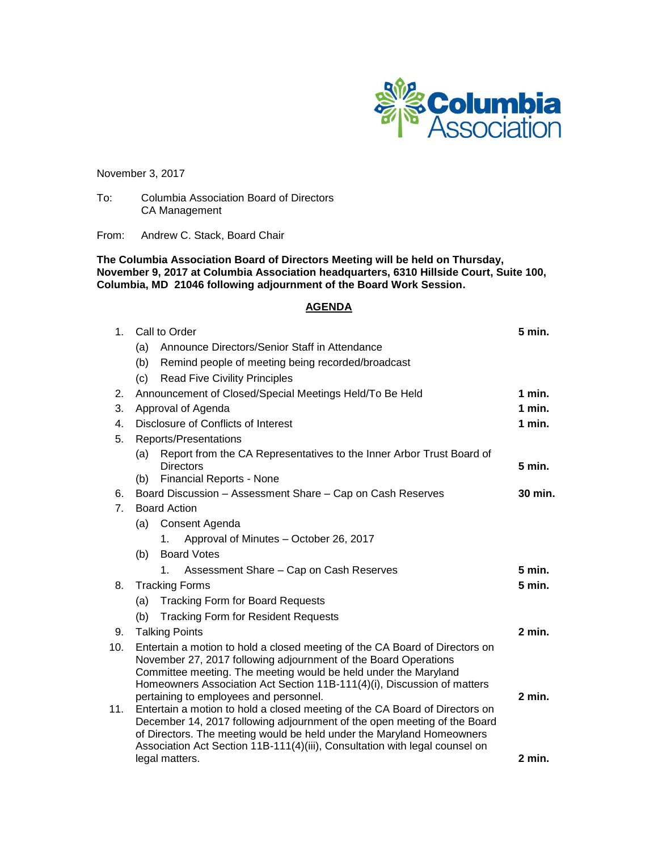

November 3, 2017

To: Columbia Association Board of Directors CA Management

From: Andrew C. Stack, Board Chair

**The Columbia Association Board of Directors Meeting will be held on Thursday, November 9, 2017 at Columbia Association headquarters, 6310 Hillside Court, Suite 100, Columbia, MD 21046 following adjournment of the Board Work Session.**

# **AGENDA**

| 1 <sub>1</sub>       | Call to Order                                                                                                                                                                                                                                                                                                                          | 5 min.   |
|----------------------|----------------------------------------------------------------------------------------------------------------------------------------------------------------------------------------------------------------------------------------------------------------------------------------------------------------------------------------|----------|
|                      | Announce Directors/Senior Staff in Attendance<br>(a)                                                                                                                                                                                                                                                                                   |          |
|                      | (b)<br>Remind people of meeting being recorded/broadcast                                                                                                                                                                                                                                                                               |          |
|                      | <b>Read Five Civility Principles</b><br>(c)                                                                                                                                                                                                                                                                                            |          |
| 2.                   | Announcement of Closed/Special Meetings Held/To Be Held                                                                                                                                                                                                                                                                                | 1 min.   |
| 3.                   | Approval of Agenda                                                                                                                                                                                                                                                                                                                     | $1$ min. |
| $4_{\cdot}$          | Disclosure of Conflicts of Interest                                                                                                                                                                                                                                                                                                    | $1$ min. |
| 5.                   | Reports/Presentations                                                                                                                                                                                                                                                                                                                  |          |
|                      | Report from the CA Representatives to the Inner Arbor Trust Board of<br>(a)<br><b>Directors</b>                                                                                                                                                                                                                                        | 5 min.   |
|                      | <b>Financial Reports - None</b><br>(b)                                                                                                                                                                                                                                                                                                 |          |
| 6.<br>7 <sub>1</sub> | Board Discussion - Assessment Share - Cap on Cash Reserves<br><b>Board Action</b>                                                                                                                                                                                                                                                      | 30 min.  |
|                      | Consent Agenda<br>(a)                                                                                                                                                                                                                                                                                                                  |          |
|                      | Approval of Minutes - October 26, 2017<br>1.                                                                                                                                                                                                                                                                                           |          |
|                      | <b>Board Votes</b><br>(b)                                                                                                                                                                                                                                                                                                              |          |
|                      | Assessment Share - Cap on Cash Reserves<br>1.                                                                                                                                                                                                                                                                                          | 5 min.   |
| 8.                   | <b>Tracking Forms</b>                                                                                                                                                                                                                                                                                                                  | 5 min.   |
|                      | <b>Tracking Form for Board Requests</b><br>(a)                                                                                                                                                                                                                                                                                         |          |
|                      | (b)<br><b>Tracking Form for Resident Requests</b>                                                                                                                                                                                                                                                                                      |          |
| 9.                   | <b>Talking Points</b>                                                                                                                                                                                                                                                                                                                  | $2$ min. |
| 10.                  | Entertain a motion to hold a closed meeting of the CA Board of Directors on<br>November 27, 2017 following adjournment of the Board Operations<br>Committee meeting. The meeting would be held under the Maryland<br>Homeowners Association Act Section 11B-111(4)(i), Discussion of matters<br>pertaining to employees and personnel. | $2$ min. |
| 11.                  | Entertain a motion to hold a closed meeting of the CA Board of Directors on<br>December 14, 2017 following adjournment of the open meeting of the Board<br>of Directors. The meeting would be held under the Maryland Homeowners<br>Association Act Section 11B-111(4)(iii), Consultation with legal counsel on<br>legal matters.      | $2$ min. |